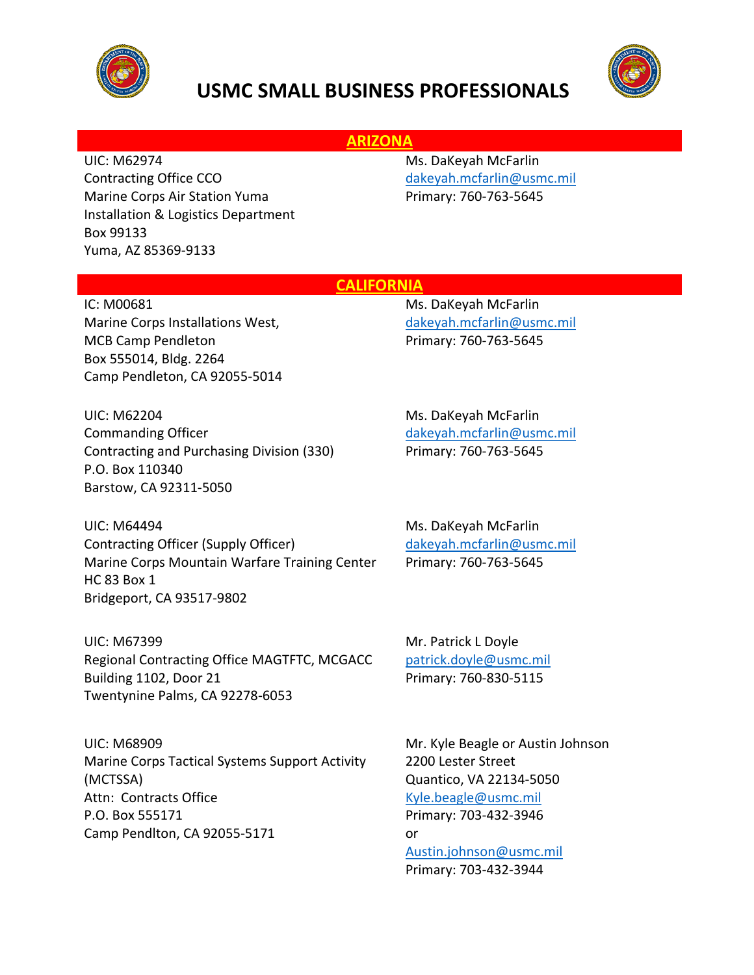



## **ARIZONA**

UIC: M62974 Contracting Office CCO Marine Corps Air Station Yuma Installation & Logistics Department Box 99133 Yuma, AZ 85369-9133

Ms. DaKeyah McFarlin [dakeyah.mcfarlin@usmc.mil](mailto:dakeyah.mcfarlin@usmc.mil) Primary: 760-763-5645

### **CALIFORNIA**

IC: M00681 Marine Corps Installations West, MCB Camp Pendleton Box 555014, Bldg. 2264 Camp Pendleton, CA 92055-5014

UIC: M62204 Commanding Officer Contracting and Purchasing Division (330) P.O. Box 110340 Barstow, CA 92311-5050

UIC: M64494 Contracting Officer (Supply Officer) Marine Corps Mountain Warfare Training Center HC 83 Box 1 Bridgeport, CA 93517-9802

UIC: M67399 Regional Contracting Office MAGTFTC, MCGACC Building 1102, Door 21 Twentynine Palms, CA 92278-6053

UIC: M68909 Marine Corps Tactical Systems Support Activity (MCTSSA) Attn: Contracts Office P.O. Box 555171 Camp Pendlton, CA 92055-5171

Ms. DaKeyah McFarlin [dakeyah.mcfarlin@usmc.mil](mailto:dakeyah.mcfarlin@usmc.mil) Primary: 760-763-5645

Ms. DaKeyah McFarlin [dakeyah.mcfarlin@usmc.mil](mailto:dakeyah.mcfarlin@usmc.mil) Primary: 760-763-5645

Ms. DaKeyah McFarlin [dakeyah.mcfarlin@usmc.mil](mailto:dakeyah.mcfarlin@usmc.mil) Primary: 760-763-5645

Mr. Patrick L Doyle [patrick.doyle@usmc.mil](mailto:patrick.doyle@usmc.mil) Primary: 760-830-5115

Mr. Kyle Beagle or Austin Johnson 2200 Lester Street Quantico, VA 22134-5050 [Kyle.beagle@usmc.mil](mailto:Kyle.beagle@usmc.mil) Primary: 703-432-3946 or [Austin.johnson@usmc.mil](mailto:Austin.johnson@usmc.mil) Primary: 703-432-3944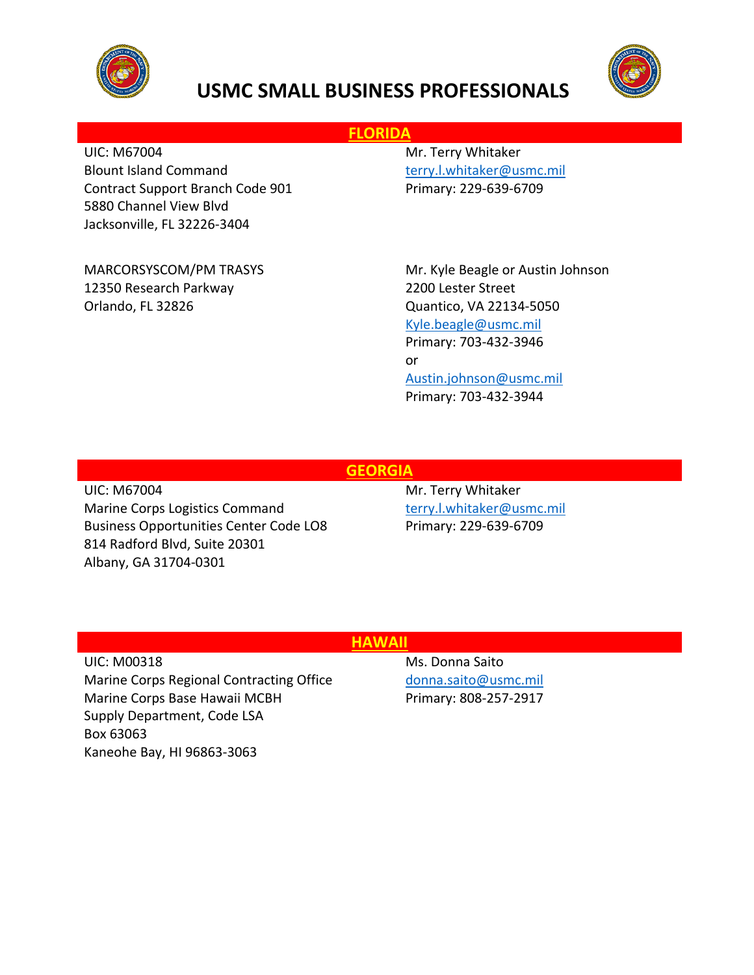



## **FLORIDA**

UIC: M67004 Blount Island Command Contract Support Branch Code 901 5880 Channel View Blvd Jacksonville, FL 32226-3404

MARCORSYSCOM/PM TRASYS 12350 Research Parkway Orlando, FL 32826

Mr. Terry Whitaker [terry.l.whitaker@usmc.mil](mailto:terry.l.whitaker@usmc.mil) Primary: 229-639-6709

Mr. Kyle Beagle or Austin Johnson 2200 Lester Street Quantico, VA 22134-5050 [Kyle.beagle@usmc.mil](mailto:Kyle.beagle@usmc.mil) Primary: 703-432-3946 or [Austin.johnson@usmc.mil](mailto:Austin.johnson@usmc.mil) Primary: 703-432-3944

## **GEORGIA**

UIC: M67004 Marine Corps Logistics Command Business Opportunities Center Code LO8 814 Radford Blvd, Suite 20301 Albany, GA 31704-0301

Mr. Terry Whitaker [terry.l.whitaker@usmc.mil](mailto:terry.l.whitaker@usmc.mil) Primary: 229-639-6709

### **HAWAII**

UIC: M00318 Marine Corps Regional Contracting Office Marine Corps Base Hawaii MCBH Supply Department, Code LSA Box 63063 Kaneohe Bay, HI 96863-3063

Ms. Donna Saito [donna.saito@usmc.mil](mailto:donna.saito@usmc.mil) Primary: 808-257-2917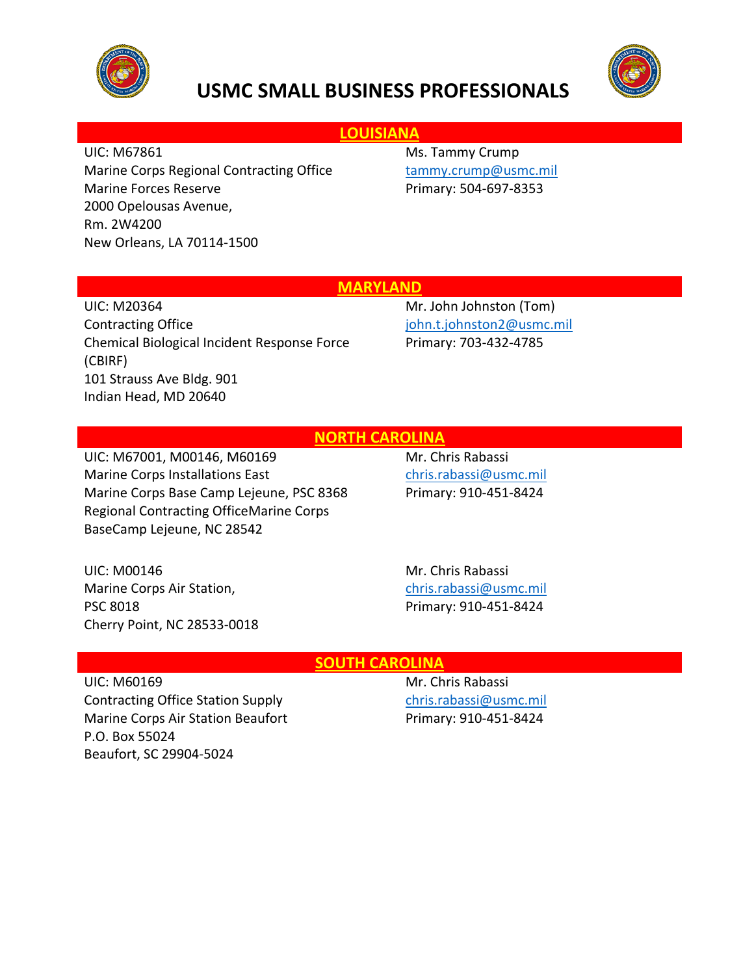



## **LOUISIANA**

UIC: M67861

Marine Corps Regional Contracting Office Marine Forces Reserve 2000 Opelousas Avenue, Rm. 2W4200 New Orleans, LA 70114-1500

Ms. Tammy Crump [tammy.crump@usmc.mil](mailto:tammy.crump@usmc.mil) Primary: 504-697-8353

### **MARYLAND**

UIC: M20364 Contracting Office Chemical Biological Incident Response Force (CBIRF) 101 Strauss Ave Bldg. 901 Indian Head, MD 20640

Mr. John Johnston (Tom) [john.t.johnston2@usmc.mil](mailto:john.t.johnston2@usmc.mil) Primary: 703-432-4785

### **NORTH CAROLINA**

UIC: M67001, M00146, M60169 Marine Corps Installations East Marine Corps Base Camp Lejeune, PSC 8368 Regional Contracting OfficeMarine Corps BaseCamp Lejeune, NC 28542

Mr. Chris Rabassi [chris.rabassi@usmc.mil](mailto:chris.rabassi@usmc.mil) Primary: 910-451-8424

UIC: M00146 Marine Corps Air Station, PSC 8018 Cherry Point, NC 28533-0018 Mr. Chris Rabassi [chris.rabassi@usmc.mil](mailto:chris.rabassi@usmc.mil) Primary: 910-451-8424

### **SOUTH CAROLINA**

UIC: M60169 Contracting Office Station Supply Marine Corps Air Station Beaufort P.O. Box 55024 Beaufort, SC 29904-5024

Mr. Chris Rabassi [chris.rabassi@usmc.mil](mailto:chris.rabassi@usmc.mil) Primary: 910-451-8424